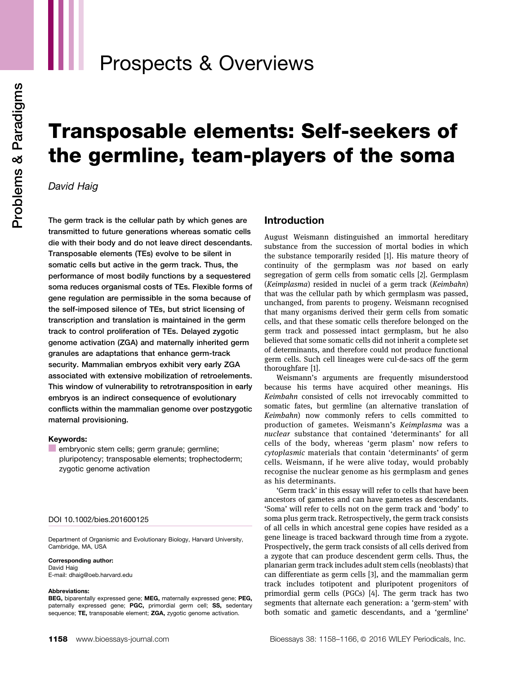# Prospects & Overviews

# Transposable elements: Self-seekers of the germline, team-players of the soma

David Haig

The germ track is the cellular path by which genes are transmitted to future generations whereas somatic cells die with their body and do not leave direct descendants. Transposable elements (TEs) evolve to be silent in somatic cells but active in the germ track. Thus, the performance of most bodily functions by a sequestered soma reduces organismal costs of TEs. Flexible forms of gene regulation are permissible in the soma because of the self-imposed silence of TEs, but strict licensing of transcription and translation is maintained in the germ track to control proliferation of TEs. Delayed zygotic genome activation (ZGA) and maternally inherited germ granules are adaptations that enhance germ-track security. Mammalian embryos exhibit very early ZGA associated with extensive mobilization of retroelements. This window of vulnerability to retrotransposition in early embryos is an indirect consequence of evolutionary conflicts within the mammalian genome over postzygotic maternal provisioning.

#### Keywords:

maternal provisioning.<br> **Keywords:**<br> **Exercise entity entity only only in the cells; germ granule; germline;<br>
pluripotency; transposable elements; trophectoderm;** zygotic genome activation

#### DOI 10.1002/bies.201600125

Department of Organismic and Evolutionary Biology, Harvard University, Cambridge, MA, USA

Corresponding author: David Haig E-mail: dhaig@oeb.harvard.edu

#### Abbreviations:

BEG, biparentally expressed gene; MEG, maternally expressed gene; PEG, paternally expressed gene; PGC, primordial germ cell; SS, sedentary sequence; TE, transposable element; ZGA, zygotic genome activation.

#### Introduction

August Weismann distinguished an immortal hereditary substance from the succession of mortal bodies in which the substance temporarily resided [1]. His mature theory of continuity of the germplasm was not based on early segregation of germ cells from somatic cells [2]. Germplasm (Keimplasma) resided in nuclei of a germ track (Keimbahn) that was the cellular path by which germplasm was passed, unchanged, from parents to progeny. Weismann recognised that many organisms derived their germ cells from somatic cells, and that these somatic cells therefore belonged on the germ track and possessed intact germplasm, but he also believed that some somatic cells did not inherit a complete set of determinants, and therefore could not produce functional germ cells. Such cell lineages were cul-de-sacs off the germ thoroughfare [1].

Weismann's arguments are frequently misunderstood because his terms have acquired other meanings. His Keimbahn consisted of cells not irrevocably committed to somatic fates, but germline (an alternative translation of Keimbahn) now commonly refers to cells committed to production of gametes. Weismann's Keimplasma was a nuclear substance that contained 'determinants' for all cells of the body, whereas 'germ plasm' now refers to cytoplasmic materials that contain 'determinants' of germ cells. Weismann, if he were alive today, would probably recognise the nuclear genome as his germplasm and genes as his determinants.

'Germ track' in this essay will refer to cells that have been ancestors of gametes and can have gametes as descendants. 'Soma' will refer to cells not on the germ track and 'body' to soma plus germ track. Retrospectively, the germ track consists of all cells in which ancestral gene copies have resided as a gene lineage is traced backward through time from a zygote. Prospectively, the germ track consists of all cells derived from a zygote that can produce descendent germ cells. Thus, the planarian germ track includes adult stem cells (neoblasts) that can differentiate as germ cells [3], and the mammalian germ track includes totipotent and pluripotent progenitors of primordial germ cells (PGCs) [4]. The germ track has two segments that alternate each generation: a 'germ-stem' with both somatic and gametic descendants, and a 'germline'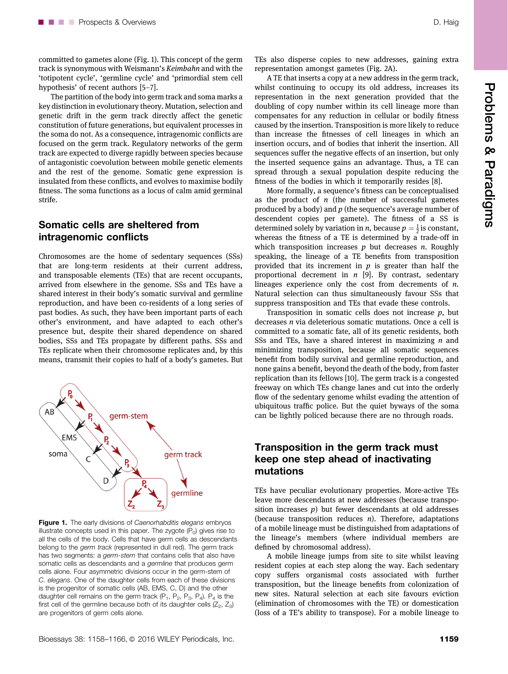committed to gametes alone (Fig. 1). This concept of the germ track is synonymous with Weismann's Keimbahn and with the 'totipotent cycle', 'germline cycle' and 'primordial stem cell hypothesis' of recent authors [5–7].

The partition of the body into germ track and soma marks a key distinction in evolutionary theory. Mutation, selection and genetic drift in the germ track directly affect the genetic constitution of future generations, but equivalent processes in the soma do not. As a consequence, intragenomic conflicts are focused on the germ track. Regulatory networks of the germ track are expected to diverge rapidly between species because of antagonistic coevolution between mobile genetic elements and the rest of the genome. Somatic gene expression is insulated from these conflicts, and evolves to maximise bodily fitness. The soma functions as a locus of calm amid germinal strife.

#### Somatic cells are sheltered from intragenomic conflicts

Chromosomes are the home of sedentary sequences (SSs) that are long-term residents at their current address, and transposable elements (TEs) that are recent occupants, arrived from elsewhere in the genome. SSs and TEs have a shared interest in their body's somatic survival and germline reproduction, and have been co-residents of a long series of past bodies. As such, they have been important parts of each other's environment, and have adapted to each other's presence but, despite their shared dependence on shared bodies, SSs and TEs propagate by different paths. SSs and TEs replicate when their chromosome replicates and, by this means, transmit their copies to half of a body's gametes. But



**Figure 1.** The early divisions of Caenorhabditis elegans embryos illustrate concepts used in this paper. The zygote  $(P_0)$  gives rise to all the cells of the body. Cells that have germ cells as descendants belong to the germ track (represented in dull red). The germ track has two segments: a *germ-stem* that contains cells that also have somatic cells as descendants and a germline that produces germ cells alone. Four asymmetric divisions occur in the germ-stem of C. elegans. One of the daughter cells from each of these divisions is the progenitor of somatic cells (AB, EMS, C, D) and the other daughter cell remains on the germ track  $(P_1, P_2, P_3, P_4)$ .  $P_4$  is the first cell of the germline because both of its daughter cells  $(Z_2, Z_3)$ are progenitors of germ cells alone.

Problems

&

Paradigms

TEs also disperse copies to new addresses, gaining extra representation amongst gametes (Fig. 2A).

A TE that inserts a copy at a new address in the germ track, whilst continuing to occupy its old address, increases its representation in the next generation provided that the doubling of copy number within its cell lineage more than compensates for any reduction in cellular or bodily fitness caused by the insertion. Transposition is more likely to reduce than increase the fitnesses of cell lineages in which an insertion occurs, and of bodies that inherit the insertion. All sequences suffer the negative effects of an insertion, but only the inserted sequence gains an advantage. Thus, a TE can spread through a sexual population despite reducing the fitness of the bodies in which it temporarily resides [8].

More formally, a sequence's fitness can be conceptualised as the product of  $n$  (the number of successful gametes produced by a body) and  $p$  (the sequence's average number of descendent copies per gamete). The fitness of a SS is determined solely by variation in *n*, because  $p = \frac{1}{2}$  is constant, whereas the fitness of a TE is determined by a trade-off in which transposition increases  $p$  but decreases  $n$ . Roughly speaking, the lineage of a TE benefits from transposition provided that its increment in  $p$  is greater than half the proportional decrement in  $n$  [9]. By contrast, sedentary lineages experience only the cost from decrements of n. Natural selection can thus simultaneously favour SSs that suppress transposition and TEs that evade these controls.

Transposition in somatic cells does not increase  $p$ , but decreases *n* via deleterious somatic mutations. Once a cell is committed to a somatic fate, all of its genetic residents, both SSs and TEs, have a shared interest in maximizing *n* and minimizing transposition, because all somatic sequences benefit from bodily survival and germline reproduction, and none gains a benefit, beyond the death of the body, from faster replication than its fellows [10]. The germ track is a congested freeway on which TEs change lanes and cut into the orderly flow of the sedentary genome whilst evading the attention of ubiquitous traffic police. But the quiet byways of the soma can be lightly policed because there are no through roads.

#### Transposition in the germ track must keep one step ahead of inactivating mutations

TEs have peculiar evolutionary properties. More-active TEs leave more descendants at new addresses (because transposition increases p) but fewer descendants at old addresses (because transposition reduces  $n$ ). Therefore, adaptations of a mobile lineage must be distinguished from adaptations of the lineage's members (where individual members are defined by chromosomal address).

A mobile lineage jumps from site to site whilst leaving resident copies at each step along the way. Each sedentary copy suffers organismal costs associated with further transposition, but the lineage benefits from colonization of new sites. Natural selection at each site favours eviction (elimination of chromosomes with the TE) or domestication (loss of a TE's ability to transpose). For a mobile lineage to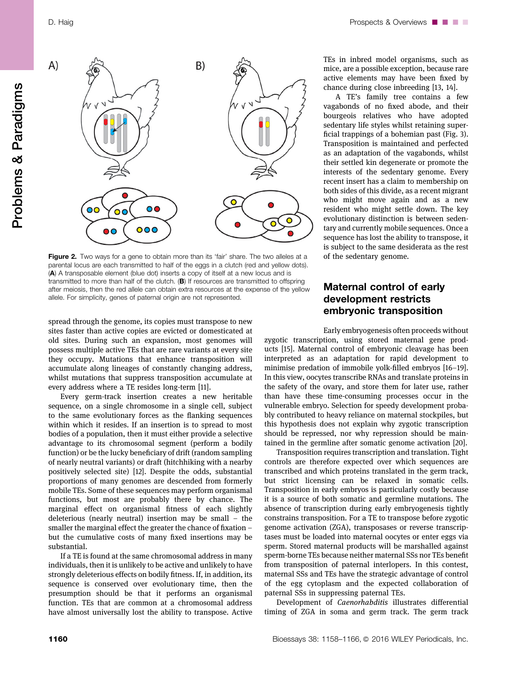

Figure 2. Two ways for a gene to obtain more than its 'fair' share. The two alleles at a parental locus are each transmitted to half of the eggs in a clutch (red and yellow dots). (A) A transposable element (blue dot) inserts a copy of itself at a new locus and is transmitted to more than half of the clutch. (B) If resources are transmitted to offspring after meiosis, then the red allele can obtain extra resources at the expense of the yellow allele. For simplicity, genes of paternal origin are not represented.

spread through the genome, its copies must transpose to new sites faster than active copies are evicted or domesticated at old sites. During such an expansion, most genomes will possess multiple active TEs that are rare variants at every site they occupy. Mutations that enhance transposition will accumulate along lineages of constantly changing address, whilst mutations that suppress transposition accumulate at every address where a TE resides long-term [11].

Every germ-track insertion creates a new heritable sequence, on a single chromosome in a single cell, subject to the same evolutionary forces as the flanking sequences within which it resides. If an insertion is to spread to most bodies of a population, then it must either provide a selective advantage to its chromosomal segment (perform a bodily function) or be the lucky beneficiary of drift (random sampling of nearly neutral variants) or draft (hitchhiking with a nearby positively selected site) [12]. Despite the odds, substantial proportions of many genomes are descended from formerly mobile TEs. Some of these sequences may perform organismal functions, but most are probably there by chance. The marginal effect on organismal fitness of each slightly deleterious (nearly neutral) insertion may be small – the smaller the marginal effect the greater the chance of fixation – but the cumulative costs of many fixed insertions may be substantial.

If a TE is found at the same chromosomal address in many individuals, then it is unlikely to be active and unlikely to have strongly deleterious effects on bodily fitness. If, in addition, its sequence is conserved over evolutionary time, then the presumption should be that it performs an organismal function. TEs that are common at a chromosomal address have almost universally lost the ability to transpose. Active

TEs in inbred model organisms, such as mice, are a possible exception, because rare active elements may have been fixed by chance during close inbreeding [13, 14].

A TE's family tree contains a few vagabonds of no fixed abode, and their bourgeois relatives who have adopted sedentary life styles whilst retaining superficial trappings of a bohemian past (Fig. 3). Transposition is maintained and perfected as an adaptation of the vagabonds, whilst their settled kin degenerate or promote the interests of the sedentary genome. Every recent insert has a claim to membership on both sides of this divide, as a recent migrant who might move again and as a new resident who might settle down. The key evolutionary distinction is between sedentary and currently mobile sequences. Once a sequence has lost the ability to transpose, it is subject to the same desiderata as the rest of the sedentary genome.

### Maternal control of early development restricts embryonic transposition

Early embryogenesis often proceeds without zygotic transcription, using stored maternal gene products [15]. Maternal control of embryonic cleavage has been interpreted as an adaptation for rapid development to minimise predation of immobile yolk-filled embryos [16–19]. In this view, oocytes transcribe RNAs and translate proteins in the safety of the ovary, and store them for later use, rather than have these time-consuming processes occur in the vulnerable embryo. Selection for speedy development probably contributed to heavy reliance on maternal stockpiles, but this hypothesis does not explain why zygotic transcription should be repressed, nor why repression should be maintained in the germline after somatic genome activation [20].

Transposition requires transcription and translation. Tight controls are therefore expected over which sequences are transcribed and which proteins translated in the germ track, but strict licensing can be relaxed in somatic cells. Transposition in early embryos is particularly costly because it is a source of both somatic and germline mutations. The absence of transcription during early embryogenesis tightly constrains transposition. For a TE to transpose before zygotic genome activation (ZGA), transposases or reverse transcriptases must be loaded into maternal oocytes or enter eggs via sperm. Stored maternal products will be marshalled against sperm-borne TEs because neither maternal SSs nor TEs benefit from transposition of paternal interlopers. In this contest, maternal SSs and TEs have the strategic advantage of control of the egg cytoplasm and the expected collaboration of paternal SSs in suppressing paternal TEs.

Development of Caenorhabditis illustrates differential timing of ZGA in soma and germ track. The germ track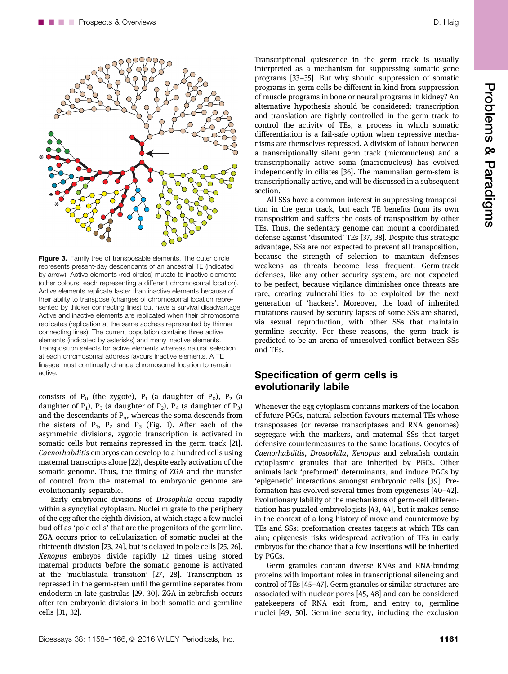

Figure 3. Family tree of transposable elements. The outer circle represents present-day descendants of an ancestral TE (indicated by arrow). Active elements (red circles) mutate to inactive elements (other colours, each representing a different chromosomal location). Active elements replicate faster than inactive elements because of their ability to transpose (changes of chromosomal location represented by thicker connecting lines) but have a survival disadvantage. Active and inactive elements are replicated when their chromosome replicates (replication at the same address represented by thinner connecting lines). The current population contains three active elements (indicated by asterisks) and many inactive elements. Transposition selects for active elements whereas natural selection at each chromosomal address favours inactive elements. A TE lineage must continually change chromosomal location to remain active.

consists of  $P_0$  (the zygote),  $P_1$  (a daughter of  $P_0$ ),  $P_2$  (a daughter of  $P_1$ ),  $P_3$  (a daughter of  $P_2$ ),  $P_4$  (a daughter of  $P_3$ ) and the descendants of  $P_4$ , whereas the soma descends from the sisters of  $P_1$ ,  $P_2$  and  $P_3$  (Fig. 1). After each of the asymmetric divisions, zygotic transcription is activated in somatic cells but remains repressed in the germ track [21]. Caenorhabditis embryos can develop to a hundred cells using maternal transcripts alone [22], despite early activation of the somatic genome. Thus, the timing of ZGA and the transfer of control from the maternal to embryonic genome are evolutionarily separable.

Early embryonic divisions of Drosophila occur rapidly within a syncytial cytoplasm. Nuclei migrate to the periphery of the egg after the eighth division, at which stage a few nuclei bud off as 'pole cells' that are the progenitors of the germline. ZGA occurs prior to cellularization of somatic nuclei at the thirteenth division [23, 24], but is delayed in pole cells [25, 26]. Xenopus embryos divide rapidly 12 times using stored maternal products before the somatic genome is activated at the 'midblastula transition' [27, 28]. Transcription is repressed in the germ-stem until the germline separates from endoderm in late gastrulas [29, 30]. ZGA in zebrafish occurs after ten embryonic divisions in both somatic and germline cells [31, 32].

Transcriptional quiescence in the germ track is usually interpreted as a mechanism for suppressing somatic gene programs [33–35]. But why should suppression of somatic programs in germ cells be different in kind from suppression of muscle programs in bone or neural programs in kidney? An alternative hypothesis should be considered: transcription and translation are tightly controlled in the germ track to control the activity of TEs, a process in which somatic differentiation is a fail-safe option when repressive mechanisms are themselves repressed. A division of labour between a transcriptionally silent germ track (micronucleus) and a transcriptionally active soma (macronucleus) has evolved independently in ciliates [36]. The mammalian germ-stem is transcriptionally active, and will be discussed in a subsequent section.

All SSs have a common interest in suppressing transposition in the germ track, but each TE benefits from its own transposition and suffers the costs of transposition by other TEs. Thus, the sedentary genome can mount a coordinated defense against 'disunited' TEs [37, 38]. Despite this strategic advantage, SSs are not expected to prevent all transposition, because the strength of selection to maintain defenses weakens as threats become less frequent. Germ-track defenses, like any other security system, are not expected to be perfect, because vigilance diminishes once threats are rare, creating vulnerabilities to be exploited by the next generation of 'hackers'. Moreover, the load of inherited mutations caused by security lapses of some SSs are shared, via sexual reproduction, with other SSs that maintain germline security. For these reasons, the germ track is predicted to be an arena of unresolved conflict between SSs and TEs.

#### Specification of germ cells is evolutionarily labile

Whenever the egg cytoplasm contains markers of the location of future PGCs, natural selection favours maternal TEs whose transposases (or reverse transcriptases and RNA genomes) segregate with the markers, and maternal SSs that target defensive countermeasures to the same locations. Oocytes of Caenorhabditis, Drosophila, Xenopus and zebrafish contain cytoplasmic granules that are inherited by PGCs. Other animals lack 'preformed' determinants, and induce PGCs by 'epigenetic' interactions amongst embryonic cells [39]. Preformation has evolved several times from epigenesis [40–42]. Evolutionary lability of the mechanisms of germ-cell differentiation has puzzled embryologists [43, 44], but it makes sense in the context of a long history of move and countermove by TEs and SSs: preformation creates targets at which TEs can aim; epigenesis risks widespread activation of TEs in early embryos for the chance that a few insertions will be inherited by PGCs.

Germ granules contain diverse RNAs and RNA-binding proteins with important roles in transcriptional silencing and control of TEs [45–47]. Germ granules or similar structures are associated with nuclear pores [45, 48] and can be considered gatekeepers of RNA exit from, and entry to, germline nuclei [49, 50]. Germline security, including the exclusion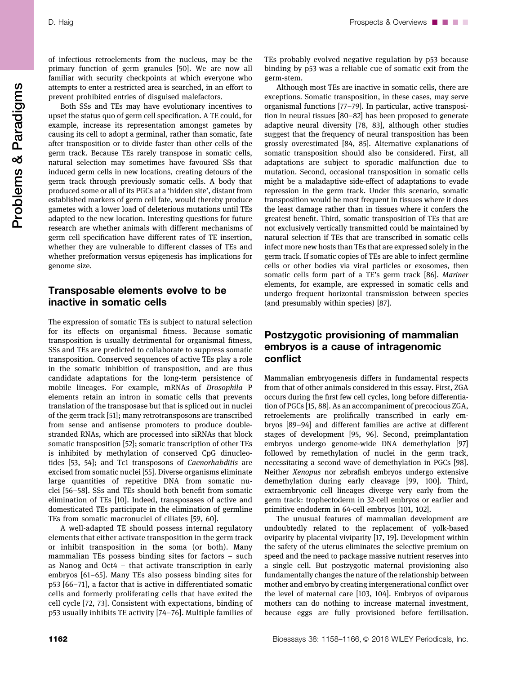of infectious retroelements from the nucleus, may be the primary function of germ granules [50]. We are now all familiar with security checkpoints at which everyone who attempts to enter a restricted area is searched, in an effort to prevent prohibited entries of disguised malefactors.

Both SSs and TEs may have evolutionary incentives to upset the status quo of germ cell specification. A TE could, for example, increase its representation amongst gametes by causing its cell to adopt a germinal, rather than somatic, fate after transposition or to divide faster than other cells of the germ track. Because TEs rarely transpose in somatic cells, natural selection may sometimes have favoured SSs that induced germ cells in new locations, creating detours of the germ track through previously somatic cells. A body that produced some or all of its PGCs at a 'hidden site', distant from established markers of germ cell fate, would thereby produce gametes with a lower load of deleterious mutations until TEs adapted to the new location. Interesting questions for future research are whether animals with different mechanisms of germ cell specification have different rates of TE insertion, whether they are vulnerable to different classes of TEs and whether preformation versus epigenesis has implications for genome size.

# Transposable elements evolve to be inactive in somatic cells

The expression of somatic TEs is subject to natural selection for its effects on organismal fitness. Because somatic transposition is usually detrimental for organismal fitness, SSs and TEs are predicted to collaborate to suppress somatic transposition. Conserved sequences of active TEs play a role in the somatic inhibition of transposition, and are thus candidate adaptations for the long-term persistence of mobile lineages. For example, mRNAs of Drosophila P elements retain an intron in somatic cells that prevents translation of the transposase but that is spliced out in nuclei of the germ track [51]; many retrotransposons are transcribed from sense and antisense promoters to produce doublestranded RNAs, which are processed into siRNAs that block somatic transposition [52]; somatic transcription of other TEs is inhibited by methylation of conserved CpG dinucleotides [53, 54]; and Tc1 transposons of Caenorhabditis are excised from somatic nuclei [55]. Diverse organisms eliminate large quantities of repetitive DNA from somatic nuclei [56–58]. SSs and TEs should both benefit from somatic elimination of TEs [10]. Indeed, transposases of active and domesticated TEs participate in the elimination of germline TEs from somatic macronuclei of ciliates [59, 60].

A well-adapted TE should possess internal regulatory elements that either activate transposition in the germ track or inhibit transposition in the soma (or both). Many mammalian TEs possess binding sites for factors – such as Nanog and Oct4 – that activate transcription in early embryos [61–65]. Many TEs also possess binding sites for p53 [66–71], a factor that is active in differentiated somatic cells and formerly proliferating cells that have exited the cell cycle [72, 73]. Consistent with expectations, binding of p53 usually inhibits TE activity [74–76]. Multiple families of TEs probably evolved negative regulation by p53 because binding by p53 was a reliable cue of somatic exit from the germ-stem.

Although most TEs are inactive in somatic cells, there are exceptions. Somatic transposition, in these cases, may serve organismal functions [77–79]. In particular, active transposition in neural tissues [80–82] has been proposed to generate adaptive neural diversity [78, 83], although other studies suggest that the frequency of neural transposition has been grossly overestimated [84, 85]. Alternative explanations of somatic transposition should also be considered. First, all adaptations are subject to sporadic malfunction due to mutation. Second, occasional transposition in somatic cells might be a maladaptive side-effect of adaptations to evade repression in the germ track. Under this scenario, somatic transposition would be most frequent in tissues where it does the least damage rather than in tissues where it confers the greatest benefit. Third, somatic transposition of TEs that are not exclusively vertically transmitted could be maintained by natural selection if TEs that are transcribed in somatic cells infect more new hosts than TEs that are expressed solely in the germ track. If somatic copies of TEs are able to infect germline cells or other bodies via viral particles or exosomes, then somatic cells form part of a TE's germ track [86]. Mariner elements, for example, are expressed in somatic cells and undergo frequent horizontal transmission between species (and presumably within species) [87].

# Postzygotic provisioning of mammalian embryos is a cause of intragenomic conflict

Mammalian embryogenesis differs in fundamental respects from that of other animals considered in this essay. First, ZGA occurs during the first few cell cycles, long before differentiation of PGCs [15, 88]. As an accompaniment of precocious ZGA, retroelements are prolifically transcribed in early embryos [89–94] and different families are active at different stages of development [95, 96]. Second, preimplantation embryos undergo genome-wide DNA demethylation [97] followed by remethylation of nuclei in the germ track, necessitating a second wave of demethylation in PGCs [98]. Neither Xenopus nor zebrafish embryos undergo extensive demethylation during early cleavage [99, 100]. Third, extraembryonic cell lineages diverge very early from the germ track: trophectoderm in 32-cell embryos or earlier and primitive endoderm in 64-cell embryos [101, 102].

The unusual features of mammalian development are undoubtedly related to the replacement of yolk-based oviparity by placental viviparity [17, 19]. Development within the safety of the uterus eliminates the selective premium on speed and the need to package massive nutrient reserves into a single cell. But postzygotic maternal provisioning also fundamentally changes the nature of the relationship between mother and embryo by creating intergenerational conflict over the level of maternal care [103, 104]. Embryos of oviparous mothers can do nothing to increase maternal investment, because eggs are fully provisioned before fertilisation.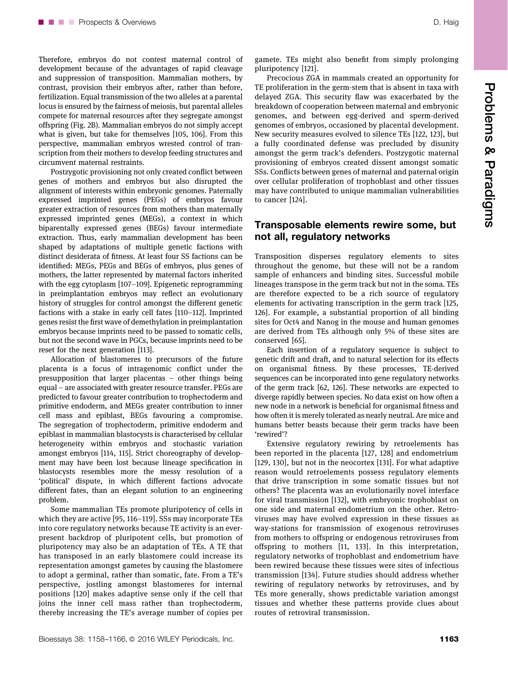Therefore, embryos do not contest maternal control of development because of the advantages of rapid cleavage and suppression of transposition. Mammalian mothers, by contrast, provision their embryos after, rather than before, fertilization. Equal transmission of the two alleles at a parental locus is ensured by the fairness of meiosis, but parental alleles compete for maternal resources after they segregate amongst offspring (Fig. 2B). Mammalian embryos do not simply accept what is given, but take for themselves [105, 106]. From this perspective, mammalian embryos wrested control of transcription from their mothers to develop feeding structures and circumvent maternal restraints.

Postzygotic provisioning not only created conflict between genes of mothers and embryos but also disrupted the alignment of interests within embryonic genomes. Paternally expressed imprinted genes (PEGs) of embryos favour greater extraction of resources from mothers than maternally expressed imprinted genes (MEGs), a context in which biparentally expressed genes (BEGs) favour intermediate extraction. Thus, early mammalian development has been shaped by adaptations of multiple genetic factions with distinct desiderata of fitness. At least four SS factions can be identified: MEGs, PEGs and BEGs of embryos, plus genes of mothers, the latter represented by maternal factors inherited with the egg cytoplasm [107–109]. Epigenetic reprogramming in preimplantation embryos may reflect an evolutionary history of struggles for control amongst the different genetic factions with a stake in early cell fates [110–112]. Imprinted genes resist the first wave of demethylation in preimplantation embryos because imprints need to be passed to somatic cells, but not the second wave in PGCs, because imprints need to be reset for the next generation [113].

Allocation of blastomeres to precursors of the future placenta is a focus of intragenomic conflict under the presupposition that larger placentas – other things being equal – are associated with greater resource transfer. PEGs are predicted to favour greater contribution to trophectoderm and primitive endoderm, and MEGs greater contribution to inner cell mass and epiblast, BEGs favouring a compromise. The segregation of trophectoderm, primitive endoderm and epiblast in mammalian blastocysts is characterised by cellular heterogeneity within embryos and stochastic variation amongst embryos [114, 115]. Strict choreography of development may have been lost because lineage specification in blastocysts resembles more the messy resolution of a 'political' dispute, in which different factions advocate different fates, than an elegant solution to an engineering problem.

Some mammalian TEs promote pluripotency of cells in which they are active [95, 116–119]. SSs may incorporate TEs into core regulatory networks because TE activity is an everpresent backdrop of pluripotent cells, but promotion of pluripotency may also be an adaptation of TEs. A TE that has transposed in an early blastomere could increase its representation amongst gametes by causing the blastomere to adopt a germinal, rather than somatic, fate. From a TE's perspective, jostling amongst blastomeres for internal positions [120] makes adaptive sense only if the cell that joins the inner cell mass rather than trophectoderm, thereby increasing the TE's average number of copies per gamete. TEs might also benefit from simply prolonging pluripotency [121].

Precocious ZGA in mammals created an opportunity for TE proliferation in the germ-stem that is absent in taxa with delayed ZGA. This security flaw was exacerbated by the breakdown of cooperation between maternal and embryonic genomes, and between egg-derived and sperm-derived genomes of embryos, occasioned by placental development. New security measures evolved to silence TEs [122, 123], but a fully coordinated defense was precluded by disunity amongst the germ track's defenders. Postzygotic maternal provisioning of embryos created dissent amongst somatic SSs. Conflicts between genes of maternal and paternal origin over cellular proliferation of trophoblast and other tissues may have contributed to unique mammalian vulnerabilities to cancer [124].

#### Transposable elements rewire some, but not all, regulatory networks

Transposition disperses regulatory elements to sites throughout the genome, but these will not be a random sample of enhancers and binding sites. Successful mobile lineages transpose in the germ track but not in the soma. TEs are therefore expected to be a rich source of regulatory elements for activating transcription in the germ track [125, 126]. For example, a substantial proportion of all binding sites for Oct4 and Nanog in the mouse and human genomes are derived from TEs although only 5% of these sites are conserved [65].

Each insertion of a regulatory sequence is subject to genetic drift and draft, and to natural selection for its effects on organismal fitness. By these processes, TE-derived sequences can be incorporated into gene regulatory networks of the germ track [62, 126]. These networks are expected to diverge rapidly between species. No data exist on how often a new node in a network is beneficial for organismal fitness and how often it is merely tolerated as nearly neutral. Are mice and humans better beasts because their germ tracks have been 'rewired'?

Extensive regulatory rewiring by retroelements has been reported in the placenta [127, 128] and endometrium [129, 130], but not in the neocortex [131]. For what adaptive reason would retroelements possess regulatory elements that drive transcription in some somatic tissues but not others? The placenta was an evolutionarily novel interface for viral transmission [132], with embryonic trophoblast on one side and maternal endometrium on the other. Retroviruses may have evolved expression in these tissues as way-stations for transmission of exogenous retroviruses from mothers to offspring or endogenous retroviruses from offspring to mothers [11, 133]. In this interpretation, regulatory networks of trophoblast and endometrium have been rewired because these tissues were sites of infectious transmission [134]. Future studies should address whether rewiring of regulatory networks by retroviruses, and by TEs more generally, shows predictable variation amongst tissues and whether these patterns provide clues about routes of retroviral transmission.

Problems

&

Paradigms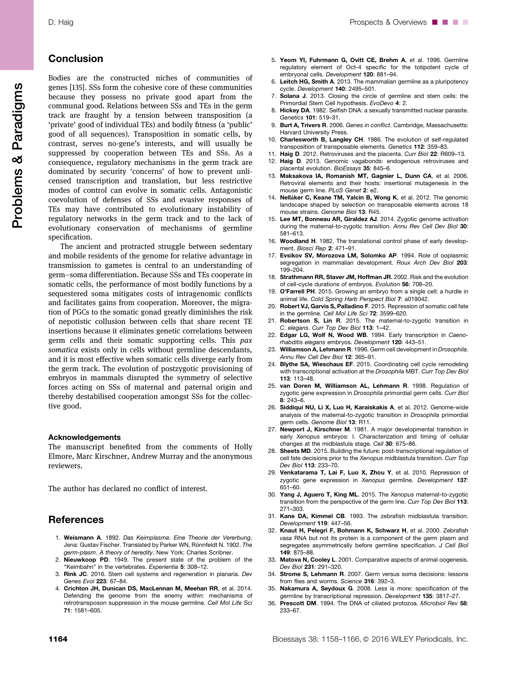## Conclusion

Bodies are the constructed niches of communities of genes [135]. SSs form the cohesive core of these communities because they possess no private good apart from the communal good. Relations between SSs and TEs in the germ track are fraught by a tension between transposition (a 'private' good of individual TEs) and bodily fitness (a 'public' good of all sequences). Transposition in somatic cells, by contrast, serves no-gene's interests, and will usually be suppressed by cooperation between TEs and SSs. As a consequence, regulatory mechanisms in the germ track are dominated by security 'concerns' of how to prevent unlicensed transcription and translation, but less restrictive modes of control can evolve in somatic cells. Antagonistic coevolution of defenses of SSs and evasive responses of TEs may have contributed to evolutionary instability of regulatory networks in the germ track and to the lack of evolutionary conservation of mechanisms of germline specification.

The ancient and protracted struggle between sedentary and mobile residents of the genome for relative advantage in transmission to gametes is central to an understanding of germ–soma differentiation. Because SSs and TEs cooperate in somatic cells, the performance of most bodily functions by a sequestered soma mitigates costs of intragenomic conflicts and facilitates gains from cooperation. Moreover, the migration of PGCs to the somatic gonad greatly diminishes the risk of nepotistic collusion between cells that share recent TE insertions because it eliminates genetic correlations between germ cells and their somatic supporting cells. This pax somatica exists only in cells without germline descendants, and it is most effective when somatic cells diverge early from the germ track. The evolution of postzygotic provisioning of embryos in mammals disrupted the symmetry of selective forces acting on SSs of maternal and paternal origin and thereby destabilised cooperation amongst SSs for the collective good.

#### Acknowledgements

The manuscript benefited from the comments of Holly Elmore, Marc Kirschner, Andrew Murray and the anonymous reviewers.

The author has declared no conflict of interest.

#### **References**

- 1. Weismann A. 1892. Das Keimplasma. Eine Theorie der Vererbung. Jena: Gustav Fischer. Translated by Parker WN, Rönnfeldt N. 1902. The germ-plasm. A theory of heredity. New York: Charles Scribner.
- 2. Nieuwkoop PD. 1949. The present state of the problem of the "Keimbahn" in the vertebrates. Experientia 5: 308–12.
- 3. Rink JC. 2016. Stem cell systems and regeneration in planaria. Dev Genes Evol 223: 67–84.
- 4. Crichton JH, Dunican DS, MacLennan M, Meehan RR, et al. 2014. Defending the genome from the enemy within: mechanisms of retrotransposon suppression in the mouse germline. Cell Mol Life Sci 71: 1581–605.
- 5. Yeom YI, Fuhrmann G, Ovitt CE, Brehm A, et al. 1996. Germline regulatory element of Oct-4 specific for the totipotent cycle of embryonal cells. Development 120: 881–94.
- 6. Leitch HG, Smith A. 2013. The mammalian germline as a pluripotency cycle. Development 140: 2495–501.
- 7. Solana J. 2013. Closing the circle of germline and stem cells: the Primordial Stem Cell hypothesis. EvoDevo 4: 2.
- 8. Hickey DA. 1982. Selfish DNA: a sexually transmitted nuclear parasite. Genetics 101: 519–31.
- 9. Burt A, Trivers R. 2006. Genes in conflict. Cambridge, Massachusetts: Harvard University Press.
- 10. Charlesworth B, Langley CH. 1986. The evolution of self-regulated transposition of transposable elements. Genetics 112: 359–83.
- 11. Haig D. 2012. Retroviruses and the placenta. Curr Biol 22: R609-13. 12. Haig D. 2013. Genomic vagabonds: endogenous retroviruses and
- placental evolution. BioEssays 35: 845–6.
- 13. Maksakova IA, Romanish MT, Gagnier L, Dunn CA, et al. 2006. Retroviral elements and their hosts: insertional mutagenesis in the mouse germ line. PLoS Genet 2: e2.
- 14. Nellåker C, Keane TM, Yalcin B, Wong K, et al. 2012. The genomic landscape shaped by selection on transposable elements across 18 mouse strains. Genome Biol 13: R45.
- 15. Lee MT, Bonneau AR, Giraldez AJ. 2014. Zygotic genome activation during the maternal-to-zygotic transition. Annu Rev Cell Dev Biol 30: 581–613.
- 16. Woodland H. 1982. The translational control phase of early development. Biosci Rep 2: 471-91.
- 17. Evsikov SV, Morozova LM, Solomko AP. 1994. Role of ooplasmic segregation in mammalian development. Roux Arch Dev Biol 203: 199–204.
- 18. Strathmann RR, Staver JM, Hoffman JR. 2002. Risk and the evolution of cell-cycle durations of embryos. Evolution 56: 708–20.
- 19. O'Farrell PH. 2015. Growing an embryo from a single cell: a hurdle in animal life. Cold Spring Harb Perspect Biol 7: a019042.
- 20. Robert VJ, Garvis S, Palladino F, 2015. Repression of somatic cell fate in the germline. Cell Mol Life Sci 72: 3599–620.
- 21. Robertson S, Lin R. 2015. The maternal-to-zygotic transition in C. elegans. Curr Top Dev Biol 113: 1-42.
- 22. Edgar LG, Wolf N, Wood WB. 1994. Early transcription in Caenorhabditis elegans embryos. Development 120: 443–51.
- 23. Williamson A, Lehmann R. 1996. Germ cell development in Drosophila. Annu Rev Cell Dev Biol 12: 365–91.
- 24. Blythe SA, Wieschaus EF. 2015. Coordinating cell cycle remodeling with transcriptional activation at the Drosophila MBT. Curr Top Dev Biol 113: 113–48.
- 25. van Doren M, Williamson AL, Lehmann R. 1998. Regulation of zygotic gene expression in Drosophila primordial germ cells. Curr Biol 8: 243–6.
- 26. Siddiqui NU, Li X, Luo H, Karaiskakis A, et al. 2012. Genome-wide analysis of the maternal-to-zygotic transition in Drosophila primordial germ cells. Genome Biol 13: R11.
- 27. Newport J, Kirschner M. 1981. A major developmental transition in early Xenopus embryos: I. Characterization and timing of cellular changes at the midblastula stage. Cell 30: 675-86.
- 28. Sheets MD. 2015. Building the future: post-transcriptional regulation of cell fate decisions prior to the Xenopus midblastula transition. Curr Top Dev Biol 113: 233–70.
- 29. Venkatarama T, Lai F, Luo X, Zhou Y, et al. 2010. Repression of zygotic gene expression in Xenopus germline. Development 137: 651–60.
- 30. Yang J, Aguero T, King ML. 2015. The Xenopus maternal-to-zygotic transition from the perspective of the germ line. Curr Top Dev Biol 113: 271–303.
- 31. Kane DA, Kimmel CB. 1993. The zebrafish midblastula transition. Development 119: 447–56.
- 32. Knaut H, Pelegri F, Bohmann K, Schwarz H, et al. 2000. Zebrafish vasa RNA but not its protein is a component of the germ plasm and segregates asymmetrically before germline specification. J Cell Biol 149: 875–88.
- 33. Matova N, Cooley L. 2001. Comparative aspects of animal oogenesis. Dev Biol 231: 291–320.
- 34. Strome S, Lehmann R. 2007. Germ versus soma decisions: lessons from flies and worms. Science 316: 392-3.
- 35. Nakamura A, Seydoux G. 2008. Less is more: specification of the germline by transcriptional repression. Development 135: 3817–27.
- 36. Prescott DM. 1994. The DNA of ciliated protozoa. Microbiol Rev 58: 233–67.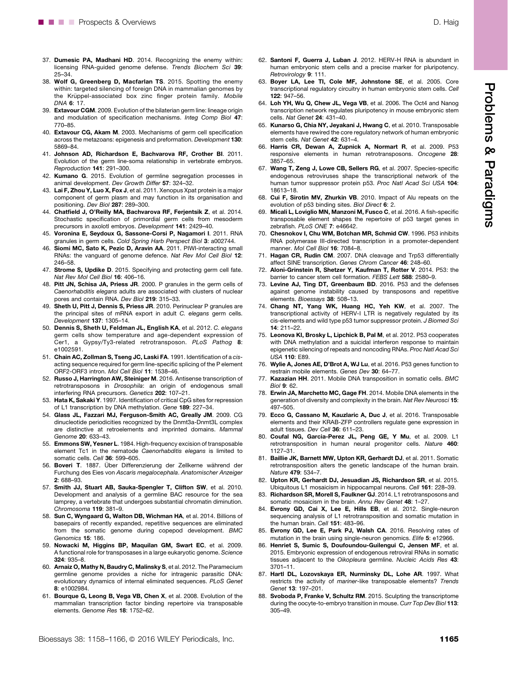- 37. Dumesic PA, Madhani HD. 2014. Recognizing the enemy within: licensing RNA-quided genome defense. Trends Biochem Sci 39: 25–34.
- 38. Wolf G, Greenberg D, Macfarlan TS. 2015. Spotting the enemy within: targeted silencing of foreign DNA in mammalian genomes by the Krüppel-associated box zinc finger protein family. Mobile DNA 6: 17.
- 39. Extavour CGM. 2009. Evolution of the bilaterian germ line: lineage origin and modulation of specification mechanisms. Integ Comp Biol 47: 770–85.
- 40. Extavour CG, Akam M. 2003. Mechanisms of germ cell specification across the metazoans: epigenesis and preformation. Development 130: 5869–84.
- 41. Johnson AD, Richardson E, Bachvarova RF, Crother BI. 2011. Evolution of the germ line-soma relationship in vertebrate embryos. Reproduction 141: 291–300.
- 42. Kumano G. 2015. Evolution of germline segregation processes in animal development. Dev Growth Differ 57: 324–32.
- 43. Lai F, Zhou Y, Luo X, Fox J, et al. 2011. Xenopus Xpat protein is a major component of germ plasm and may function in its organisation and positioning. Dev Biol 287: 289–300.
- 44. Chatfield J, O'Reilly MA, Bachvarova RF, Ferjentsik Z, et al. 2014. Stochastic specification of primordial germ cells from mesoderm precursors in axolotl embryos. Development 141: 2429–40.
- 45. Voronina E, Seydoux G, Sassone-Corsi P, Nagamori I. 2011. RNA granules in germ cells. Cold Spring Harb Perspect Biol 3: a002744.
- 46. Siomi MC, Sato K, Pezic D, Aravin AA. 2011. PIWI-interacting small RNAs: the vanguard of genome defence. Nat Rev Mol Cell Biol 12: 246–58.
- 47. Strome S, Updike D. 2015. Specifying and protecting germ cell fate. Nat Rev Mol Cell Biol 16: 406–16.
- 48. Pitt JN, Schisa JA, Priess JR. 2000. P granules in the germ cells of Caenorhabditis elegans adults are associated with clusters of nuclear pores and contain RNA. Dev Biol 219: 315–33.
- 49. Sheth U, Pitt J, Dennis S, Priess JR. 2010. Perinuclear P granules are the principal sites of mRNA export in adult C. elegans germ cells. Development 137: 1305–14.
- 50. Dennis S, Sheth U, Feldman JL, English KA, et al. 2012. C. elegans germ cells show temperature and age-dependent expression of Cer1, a Gypsy/Ty3-related retrotransposon. PLoS Pathog 8: e1002591.
- 51. Chain AC, Zollman S, Tseng JC, Laski FA. 1991. Identification of a cisacting sequence required for germ line-specific splicing of the P element ORF2-ORF3 intron. Mol Cell Biol 11: 1538–46.
- 52. Russo J, Harrington AW, Steiniger M. 2016. Antisense transcription of retrotransposons in Drosophila: an origin of endogenous small interfering RNA precursors. Genetics 202: 107–21.
- 53. Hata K, Sakaki Y. 1997. Identification of critical CpG sites for repression of L1 transcription by DNA methylation. Gene 189: 227–34.
- 54. Glass JL, Fazzari MJ, Ferguson-Smith AC, Greally JM. 2009. CG dinucleotide periodicities recognized by the Dnmt3a-Dnmt3L complex are distinctive at retroelements and imprinted domains. Mammal Genome 20: 633–43.
- 55. Emmons SW, Yesner L. 1984. High-frequency excision of transposable element Tc1 in the nematode Caenorhabditis elegans is limited to somatic cells. Cell 36: 599–605.
- 56. Boveri T. 1887. Über Differenzierung der Zellkerne während der Furchung des Eies von Ascaris megalocephala. Anatomischer Anzeiger 2: 688–93.
- 57. Smith JJ, Stuart AB, Sauka-Spengler T, Clifton SW, et al. 2010. Development and analysis of a germline BAC resource for the sea lamprey, a vertebrate that undergoes substantial chromatin diminution. Chromosoma 119: 381–9.
- 58. Sun C, Wyngaard G, Walton DB, Wichman HA, et al. 2014. Billions of basepairs of recently expanded, repetitive sequences are eliminated from the somatic genome during copepod development. BMC Genomics 15: 186.
- 59. Nowacki M, Higgins BP, Maquilan GM, Swart EC, et al. 2009. A functional role for transposases in a large eukaryotic genome. Science 324: 935–8.
- 60. Arnaiz O, Mathy N, Baudry C, Malinsky S, et al. 2012. The Paramecium germline genome provides a niche for intragenic parasitic DNA: evolutionary dynamics of internal eliminated sequences. PLoS Genet 8: e1002984.
- 61. Bourque G, Leong B, Vega VB, Chen X, et al. 2008. Evolution of the mammalian transcription factor binding repertoire via transposable elements. Genome Res 18: 1752–62.
- 62. Santoni F, Guerra J, Luban J. 2012. HERV-H RNA is abundant in human embryonic stem cells and a precise marker for pluripotency. Retrovirology 9: 111.
- 63. Boyer LA, Lee TI, Cole MF, Johnstone SE, et al. 2005. Core transcriptional regulatory circuitry in human embryonic stem cells. Cell 122: 947–56.
- 64. Loh YH, Wu Q, Chew JL, Vega VB, et al. 2006. The Oct4 and Nanog transcription network regulates pluripotency in mouse embryonic stem cells. Nat Genet 24: 431–40.
- 65. Kunarso G, Chia NY, Jeyakani J, Hwang C, et al. 2010. Transposable elements have rewired the core regulatory network of human embryonic stem cells. Nat Genet 42: 631-4.
- 66. Harris CR, Dewan A, Zupnick A, Normart R, et al. 2009. P53 responsive elements in human retrotransposons. Oncogene 28: 3857–65.
- 67. Wang T, Zeng J, Lowe CB, Sellers RG, et al. 2007. Species-specific endogenous retroviruses shape the transcriptional network of the human tumor suppressor protein p53. Proc Natl Acad Sci USA 104: 18613–18.
- 68. Cui F, Sirotin MV, Zhurkin VB. 2010. Impact of Alu repeats on the evolution of p53 binding sites. Biol Direct 6: 2.
- 69. Micali L, Loviglio MN, Manzoni M, Fusco C, et al. 2016. A fish-specific transposable element shapes the repertoire of p53 target genes in zebrafish. PLoS ONE 7: e46642.
- 70. Chesnokov I, Chu WM, Botchan MR, Schmid CW. 1996. P53 inhibits RNA polymerase III-directed transcription in a promoter-dependent manner. Mol Cell Biol 16: 7084-8.
- 71. Hagan CR, Rudin CM. 2007. DNA cleavage and Trp53 differentially affect SINE transcription. Genes Chrom Cancer 46: 248–60.
- 72. Aloni-Grinstein R, Shetzer Y, Kaufman T, Rotter V. 2014. P53: the barrier to cancer stem cell formation. FEBS Lett 588: 2580–9.
- 73. Levine AJ, Ting DT, Greenbaum BD. 2016. P53 and the defenses against genome instability caused by transposons and repetitive elements. Bioessays 38: 508–13.
- 74. Chang NT, Yang WK, Huang HC, Yeh KW, et al. 2007. The transcriptional activity of HERV-I LTR is negatively regulated by its cis-elements and wild type p53 tumor suppressor protein. J Biomed Sci 14: 211–22.
- 75. Leonova KI, Brosky L, Lipchick B, Pal M, et al. 2012. P53 cooperates with DNA methylation and a suicidal interferon response to maintain epigenetic silencing of repeats and noncoding RNAs. Proc Natl Acad Sci USA 110: E89.
- 76. Wylie A, Jones AE, D'Brot A, WJ Lu, et al. 2016. P53 genes function to restrain mobile elements. Genes Dev 30: 64–77.
- 77. Kazazian HH. 2011. Mobile DNA transposition in somatic cells. BMC Biol 9: 62.
- 78. Erwin JA, Marchetto MC, Gage FH. 2014. Mobile DNA elements in the generation of diversity and complexity in the brain. Nat Rev Neurosci 15: 497–505.
- 79. Ecco G, Cassano M, Kauzlaric A, Duc J, et al. 2016. Transposable elements and their KRAB-ZFP controllers regulate gene expression in adult tissues. Dev Cell 36: 611–23.
- 80. Coufal NG, Garcia-Perez JL, Peng GE, Y Mu, et al. 2009. L1 retrotransposition in human neural progenitor cells. Nature 460: 1127–31.
- 81. Baillie JK, Barnett MW, Upton KR, Gerhardt DJ, et al. 2011. Somatic retrotransposition alters the genetic landscape of the human brain. Nature 479: 534–7.
- 82. Upton KR, Gerhardt DJ, Jesuadian JS, Richardson SR, et al. 2015. Ubiquitous L1 mosaicism in hippocampal neurons. Cell 161: 228–39.
- 83. Richardson SR, Morell S, Faulkner GJ. 2014. L1 retrotransposons and somatic mosaicism in the brain. Annu Rev Genet 48: 1-27.
- 84. Evrony GD, Cai X, Lee E, Hills EB, et al. 2012. Single-neuron sequencing analysis of L1 retrotransposition and somatic mutation in the human brain. Cell 151: 483–96.
- 85. Evrony GD, Lee E, Park PJ, Walsh CA. 2016. Resolving rates of mutation in the brain using single-neuron genomics. Elife 5: e12966.
- 86. Henriet S, Sumic S, Doufoundou-Guilengui C, Jensen MF, et al. 2015. Embryonic expression of endogenous retroviral RNAs in somatic tissues adjacent to the Oikopleura germline. Nucleic Acids Res 43: 3701–11.
- 87. Hartl DL, Lozovskaya ER, Nurminsky DL, Lohe AR. 1997. What restricts the activity of mariner-like transposable elements? Trends Genet 13: 197–201.
- 88. Svoboda P, Franke V, Schultz RM. 2015. Sculpting the transcriptome during the oocyte-to-embryo transition in mouse. Curr Top Dev Biol 113: 305–49.

Problems

&

Paradigms